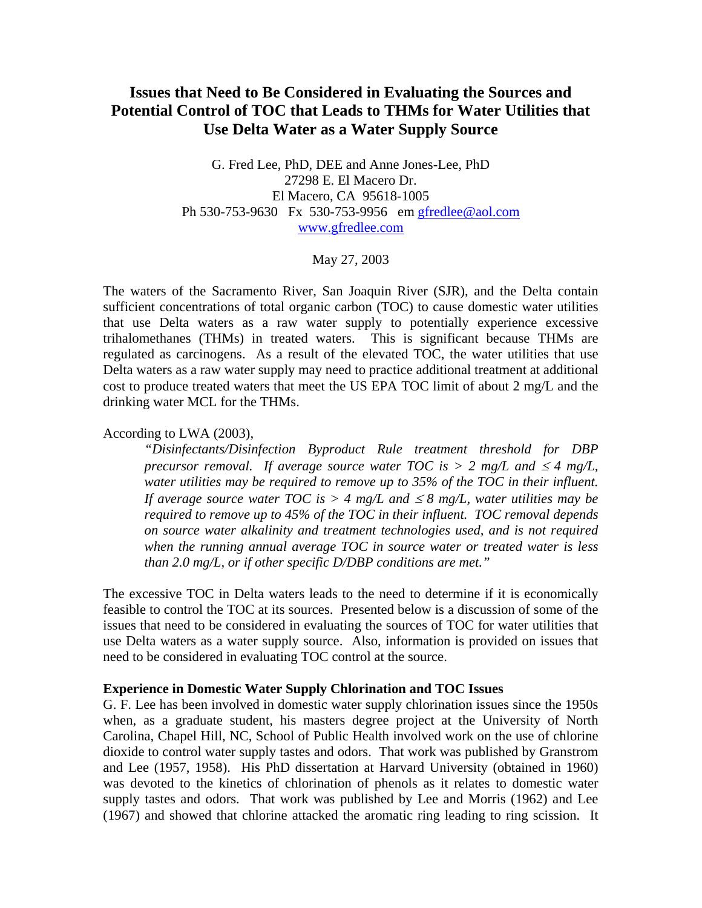# **Issues that Need to Be Considered in Evaluating the Sources and Potential Control of TOC that Leads to THMs for Water Utilities that Use Delta Water as a Water Supply Source**

G. Fred Lee, PhD, DEE and Anne Jones-Lee, PhD 27298 E. El Macero Dr. El Macero, CA 95618-1005 Ph 530-753-9630 Fx 530-753-9956 em gfredlee@aol.com www.gfredlee.com

## May 27, 2003

The waters of the Sacramento River, San Joaquin River (SJR), and the Delta contain sufficient concentrations of total organic carbon (TOC) to cause domestic water utilities that use Delta waters as a raw water supply to potentially experience excessive trihalomethanes (THMs) in treated waters. This is significant because THMs are regulated as carcinogens. As a result of the elevated TOC, the water utilities that use Delta waters as a raw water supply may need to practice additional treatment at additional cost to produce treated waters that meet the US EPA TOC limit of about 2 mg/L and the drinking water MCL for the THMs.

## According to LWA (2003),

*"Disinfectants/Disinfection Byproduct Rule treatment threshold for DBP precursor removal. If average source water TOC is > 2 mg/L and*  $\leq 4$  *mg/L, water utilities may be required to remove up to 35% of the TOC in their influent. If average source water TOC is > 4 mg/L and*  $\leq 8$  *mg/L, water utilities may be required to remove up to 45% of the TOC in their influent. TOC removal depends on source water alkalinity and treatment technologies used, and is not required when the running annual average TOC in source water or treated water is less than 2.0 mg/L, or if other specific D/DBP conditions are met."* 

The excessive TOC in Delta waters leads to the need to determine if it is economically feasible to control the TOC at its sources. Presented below is a discussion of some of the issues that need to be considered in evaluating the sources of TOC for water utilities that use Delta waters as a water supply source. Also, information is provided on issues that need to be considered in evaluating TOC control at the source.

#### **Experience in Domestic Water Supply Chlorination and TOC Issues**

G. F. Lee has been involved in domestic water supply chlorination issues since the 1950s when, as a graduate student, his masters degree project at the University of North Carolina, Chapel Hill, NC, School of Public Health involved work on the use of chlorine dioxide to control water supply tastes and odors. That work was published by Granstrom and Lee (1957, 1958). His PhD dissertation at Harvard University (obtained in 1960) was devoted to the kinetics of chlorination of phenols as it relates to domestic water supply tastes and odors. That work was published by Lee and Morris (1962) and Lee (1967) and showed that chlorine attacked the aromatic ring leading to ring scission. It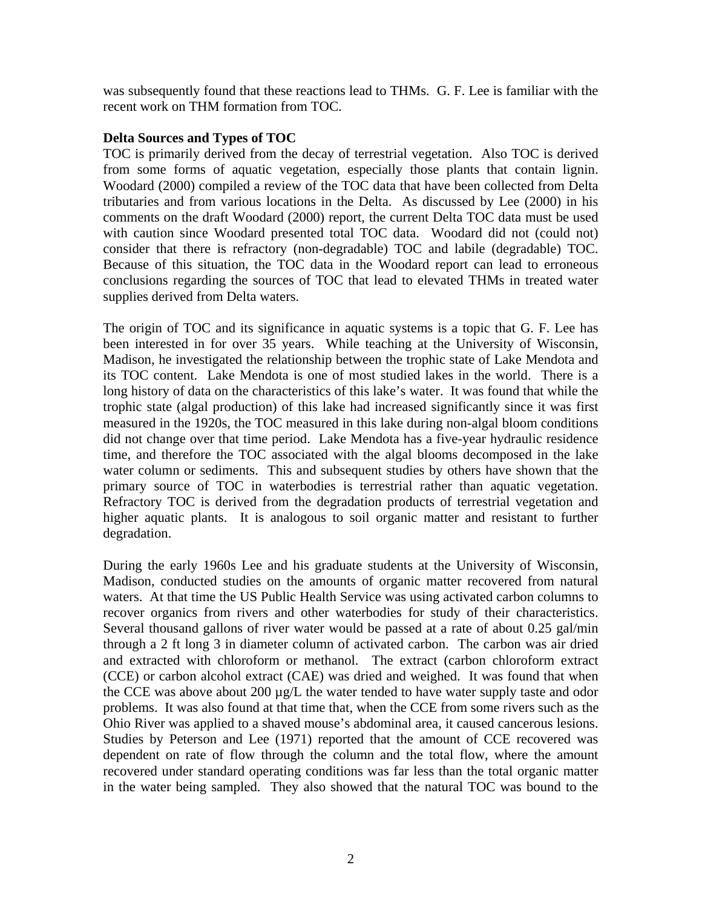was subsequently found that these reactions lead to THMs. G. F. Lee is familiar with the recent work on THM formation from TOC.

# **Delta Sources and Types of TOC**

TOC is primarily derived from the decay of terrestrial vegetation. Also TOC is derived from some forms of aquatic vegetation, especially those plants that contain lignin. Woodard (2000) compiled a review of the TOC data that have been collected from Delta tributaries and from various locations in the Delta. As discussed by Lee (2000) in his comments on the draft Woodard (2000) report, the current Delta TOC data must be used with caution since Woodard presented total TOC data. Woodard did not (could not) consider that there is refractory (non-degradable) TOC and labile (degradable) TOC. Because of this situation, the TOC data in the Woodard report can lead to erroneous conclusions regarding the sources of TOC that lead to elevated THMs in treated water supplies derived from Delta waters.

The origin of TOC and its significance in aquatic systems is a topic that G. F. Lee has been interested in for over 35 years. While teaching at the University of Wisconsin, Madison, he investigated the relationship between the trophic state of Lake Mendota and its TOC content. Lake Mendota is one of most studied lakes in the world. There is a long history of data on the characteristics of this lake's water. It was found that while the trophic state (algal production) of this lake had increased significantly since it was first measured in the 1920s, the TOC measured in this lake during non-algal bloom conditions did not change over that time period. Lake Mendota has a five-year hydraulic residence time, and therefore the TOC associated with the algal blooms decomposed in the lake water column or sediments. This and subsequent studies by others have shown that the primary source of TOC in waterbodies is terrestrial rather than aquatic vegetation. Refractory TOC is derived from the degradation products of terrestrial vegetation and higher aquatic plants. It is analogous to soil organic matter and resistant to further degradation.

During the early 1960s Lee and his graduate students at the University of Wisconsin, Madison, conducted studies on the amounts of organic matter recovered from natural waters. At that time the US Public Health Service was using activated carbon columns to recover organics from rivers and other waterbodies for study of their characteristics. Several thousand gallons of river water would be passed at a rate of about 0.25 gal/min through a 2 ft long 3 in diameter column of activated carbon. The carbon was air dried and extracted with chloroform or methanol. The extract (carbon chloroform extract (CCE) or carbon alcohol extract (CAE) was dried and weighed. It was found that when the CCE was above about 200 µg/L the water tended to have water supply taste and odor problems. It was also found at that time that, when the CCE from some rivers such as the Ohio River was applied to a shaved mouse's abdominal area, it caused cancerous lesions. Studies by Peterson and Lee (1971) reported that the amount of CCE recovered was dependent on rate of flow through the column and the total flow, where the amount recovered under standard operating conditions was far less than the total organic matter in the water being sampled. They also showed that the natural TOC was bound to the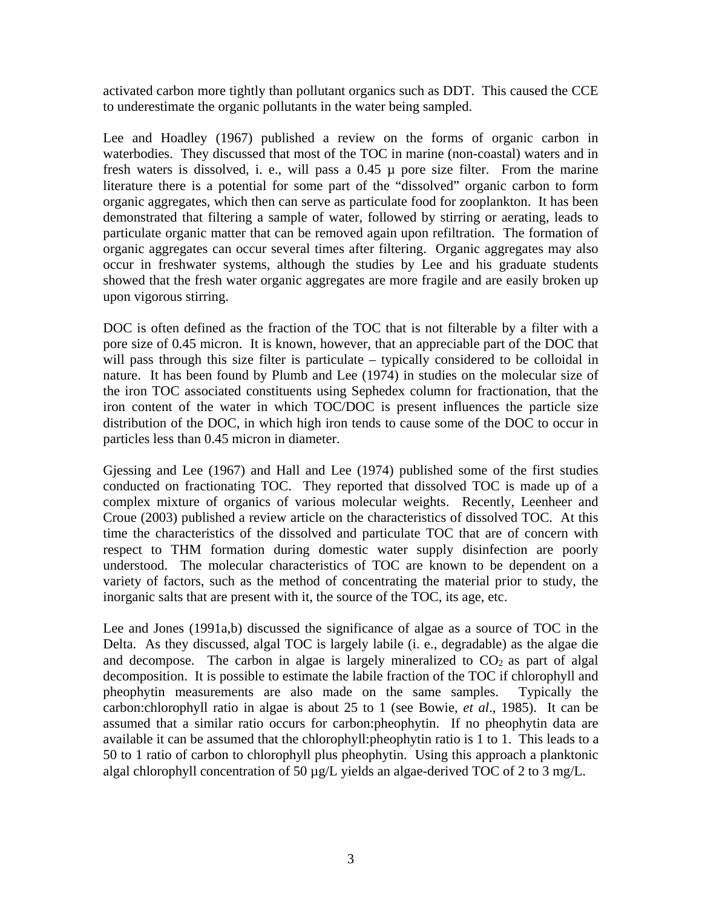activated carbon more tightly than pollutant organics such as DDT. This caused the CCE to underestimate the organic pollutants in the water being sampled.

Lee and Hoadley (1967) published a review on the forms of organic carbon in waterbodies. They discussed that most of the TOC in marine (non-coastal) waters and in fresh waters is dissolved, i. e., will pass a  $0.45 \mu$  pore size filter. From the marine literature there is a potential for some part of the "dissolved" organic carbon to form organic aggregates, which then can serve as particulate food for zooplankton. It has been demonstrated that filtering a sample of water, followed by stirring or aerating, leads to particulate organic matter that can be removed again upon refiltration. The formation of organic aggregates can occur several times after filtering. Organic aggregates may also occur in freshwater systems, although the studies by Lee and his graduate students showed that the fresh water organic aggregates are more fragile and are easily broken up upon vigorous stirring.

DOC is often defined as the fraction of the TOC that is not filterable by a filter with a pore size of 0.45 micron. It is known, however, that an appreciable part of the DOC that will pass through this size filter is particulate – typically considered to be colloidal in nature. It has been found by Plumb and Lee (1974) in studies on the molecular size of the iron TOC associated constituents using Sephedex column for fractionation, that the iron content of the water in which TOC/DOC is present influences the particle size distribution of the DOC, in which high iron tends to cause some of the DOC to occur in particles less than 0.45 micron in diameter.

Gjessing and Lee (1967) and Hall and Lee (1974) published some of the first studies conducted on fractionating TOC. They reported that dissolved TOC is made up of a complex mixture of organics of various molecular weights. Recently, Leenheer and Croue (2003) published a review article on the characteristics of dissolved TOC. At this time the characteristics of the dissolved and particulate TOC that are of concern with respect to THM formation during domestic water supply disinfection are poorly understood. The molecular characteristics of TOC are known to be dependent on a variety of factors, such as the method of concentrating the material prior to study, the inorganic salts that are present with it, the source of the TOC, its age, etc.

Lee and Jones (1991a,b) discussed the significance of algae as a source of TOC in the Delta. As they discussed, algal TOC is largely labile (i. e., degradable) as the algae die and decompose. The carbon in algae is largely mineralized to  $CO<sub>2</sub>$  as part of algal decomposition. It is possible to estimate the labile fraction of the TOC if chlorophyll and pheophytin measurements are also made on the same samples. Typically the carbon:chlorophyll ratio in algae is about 25 to 1 (see Bowie, *et al*., 1985). It can be assumed that a similar ratio occurs for carbon:pheophytin. If no pheophytin data are available it can be assumed that the chlorophyll:pheophytin ratio is 1 to 1. This leads to a 50 to 1 ratio of carbon to chlorophyll plus pheophytin. Using this approach a planktonic algal chlorophyll concentration of 50  $\mu$ g/L yields an algae-derived TOC of 2 to 3 mg/L.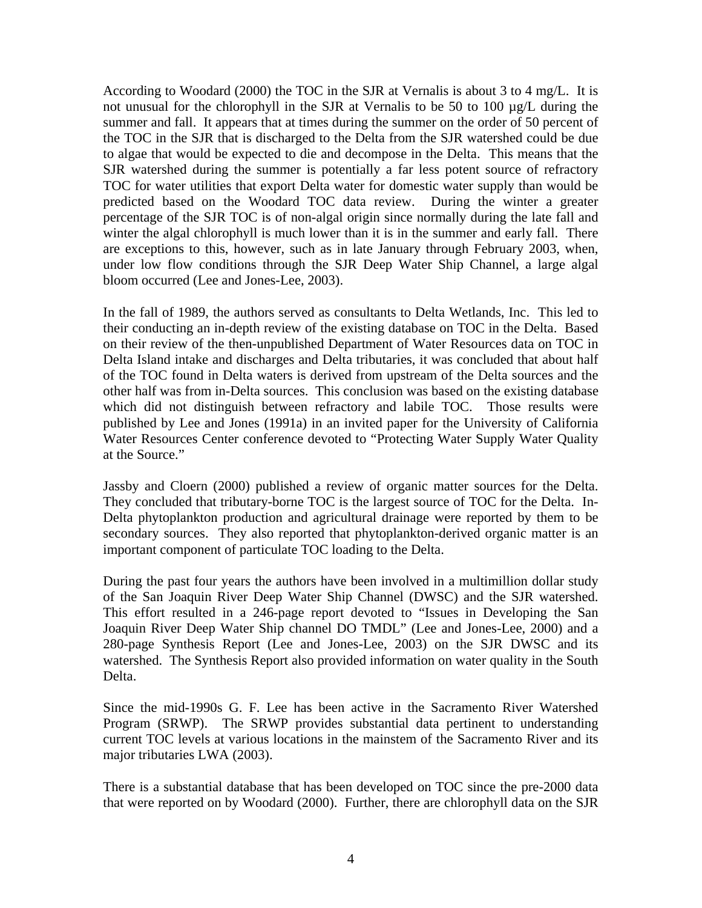According to Woodard (2000) the TOC in the SJR at Vernalis is about 3 to 4 mg/L. It is not unusual for the chlorophyll in the SJR at Vernalis to be 50 to 100 µg/L during the summer and fall. It appears that at times during the summer on the order of 50 percent of the TOC in the SJR that is discharged to the Delta from the SJR watershed could be due to algae that would be expected to die and decompose in the Delta. This means that the SJR watershed during the summer is potentially a far less potent source of refractory TOC for water utilities that export Delta water for domestic water supply than would be predicted based on the Woodard TOC data review. During the winter a greater percentage of the SJR TOC is of non-algal origin since normally during the late fall and winter the algal chlorophyll is much lower than it is in the summer and early fall. There are exceptions to this, however, such as in late January through February 2003, when, under low flow conditions through the SJR Deep Water Ship Channel, a large algal bloom occurred (Lee and Jones-Lee, 2003).

In the fall of 1989, the authors served as consultants to Delta Wetlands, Inc. This led to their conducting an in-depth review of the existing database on TOC in the Delta. Based on their review of the then-unpublished Department of Water Resources data on TOC in Delta Island intake and discharges and Delta tributaries, it was concluded that about half of the TOC found in Delta waters is derived from upstream of the Delta sources and the other half was from in-Delta sources. This conclusion was based on the existing database which did not distinguish between refractory and labile TOC. Those results were published by Lee and Jones (1991a) in an invited paper for the University of California Water Resources Center conference devoted to "Protecting Water Supply Water Quality at the Source."

Jassby and Cloern (2000) published a review of organic matter sources for the Delta. They concluded that tributary-borne TOC is the largest source of TOC for the Delta. In-Delta phytoplankton production and agricultural drainage were reported by them to be secondary sources. They also reported that phytoplankton-derived organic matter is an important component of particulate TOC loading to the Delta.

During the past four years the authors have been involved in a multimillion dollar study of the San Joaquin River Deep Water Ship Channel (DWSC) and the SJR watershed. This effort resulted in a 246-page report devoted to "Issues in Developing the San Joaquin River Deep Water Ship channel DO TMDL" (Lee and Jones-Lee, 2000) and a 280-page Synthesis Report (Lee and Jones-Lee, 2003) on the SJR DWSC and its watershed. The Synthesis Report also provided information on water quality in the South Delta.

Since the mid-1990s G. F. Lee has been active in the Sacramento River Watershed Program (SRWP). The SRWP provides substantial data pertinent to understanding current TOC levels at various locations in the mainstem of the Sacramento River and its major tributaries LWA (2003).

There is a substantial database that has been developed on TOC since the pre-2000 data that were reported on by Woodard (2000). Further, there are chlorophyll data on the SJR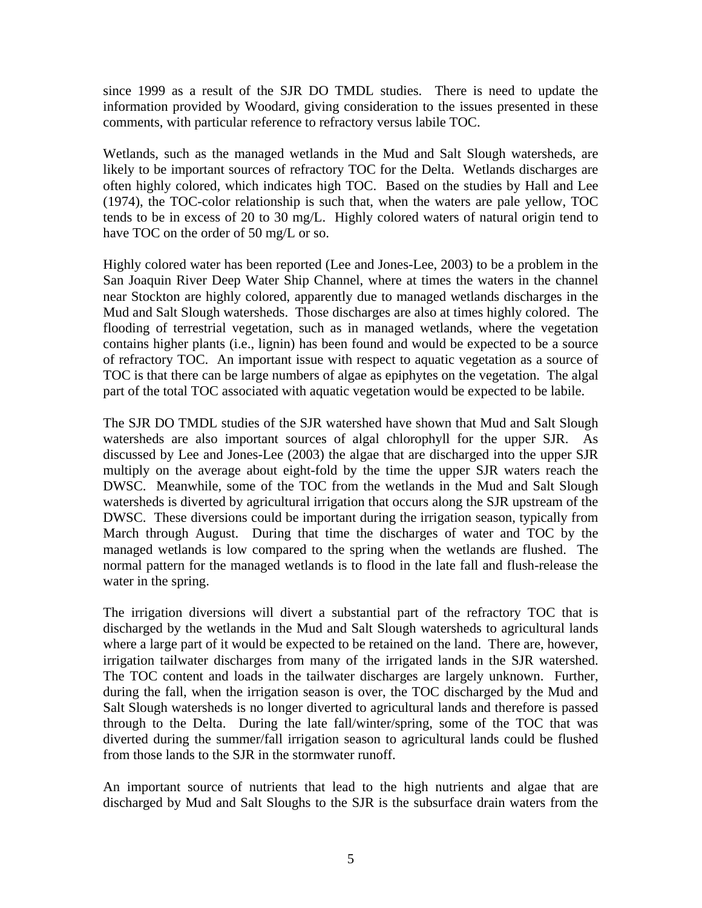since 1999 as a result of the SJR DO TMDL studies. There is need to update the information provided by Woodard, giving consideration to the issues presented in these comments, with particular reference to refractory versus labile TOC.

Wetlands, such as the managed wetlands in the Mud and Salt Slough watersheds, are likely to be important sources of refractory TOC for the Delta. Wetlands discharges are often highly colored, which indicates high TOC. Based on the studies by Hall and Lee (1974), the TOC-color relationship is such that, when the waters are pale yellow, TOC tends to be in excess of 20 to 30 mg/L. Highly colored waters of natural origin tend to have TOC on the order of 50 mg/L or so.

Highly colored water has been reported (Lee and Jones-Lee, 2003) to be a problem in the San Joaquin River Deep Water Ship Channel, where at times the waters in the channel near Stockton are highly colored, apparently due to managed wetlands discharges in the Mud and Salt Slough watersheds. Those discharges are also at times highly colored. The flooding of terrestrial vegetation, such as in managed wetlands, where the vegetation contains higher plants (i.e., lignin) has been found and would be expected to be a source of refractory TOC. An important issue with respect to aquatic vegetation as a source of TOC is that there can be large numbers of algae as epiphytes on the vegetation. The algal part of the total TOC associated with aquatic vegetation would be expected to be labile.

The SJR DO TMDL studies of the SJR watershed have shown that Mud and Salt Slough watersheds are also important sources of algal chlorophyll for the upper SJR. As discussed by Lee and Jones-Lee (2003) the algae that are discharged into the upper SJR multiply on the average about eight-fold by the time the upper SJR waters reach the DWSC. Meanwhile, some of the TOC from the wetlands in the Mud and Salt Slough watersheds is diverted by agricultural irrigation that occurs along the SJR upstream of the DWSC. These diversions could be important during the irrigation season, typically from March through August. During that time the discharges of water and TOC by the managed wetlands is low compared to the spring when the wetlands are flushed. The normal pattern for the managed wetlands is to flood in the late fall and flush-release the water in the spring.

The irrigation diversions will divert a substantial part of the refractory TOC that is discharged by the wetlands in the Mud and Salt Slough watersheds to agricultural lands where a large part of it would be expected to be retained on the land. There are, however, irrigation tailwater discharges from many of the irrigated lands in the SJR watershed. The TOC content and loads in the tailwater discharges are largely unknown. Further, during the fall, when the irrigation season is over, the TOC discharged by the Mud and Salt Slough watersheds is no longer diverted to agricultural lands and therefore is passed through to the Delta. During the late fall/winter/spring, some of the TOC that was diverted during the summer/fall irrigation season to agricultural lands could be flushed from those lands to the SJR in the stormwater runoff.

An important source of nutrients that lead to the high nutrients and algae that are discharged by Mud and Salt Sloughs to the SJR is the subsurface drain waters from the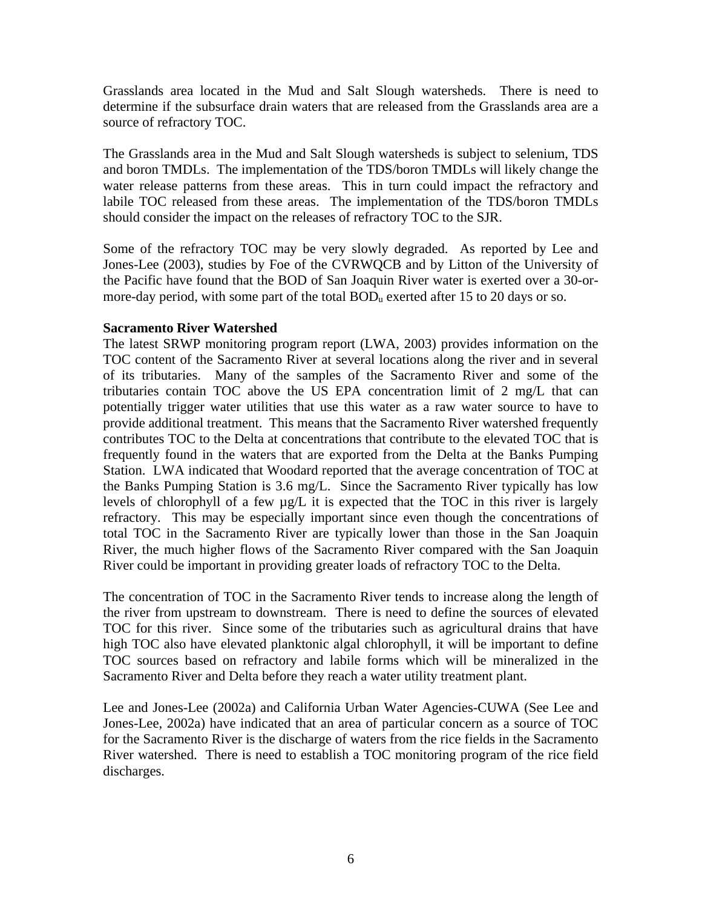Grasslands area located in the Mud and Salt Slough watersheds. There is need to determine if the subsurface drain waters that are released from the Grasslands area are a source of refractory TOC.

The Grasslands area in the Mud and Salt Slough watersheds is subject to selenium, TDS and boron TMDLs. The implementation of the TDS/boron TMDLs will likely change the water release patterns from these areas. This in turn could impact the refractory and labile TOC released from these areas. The implementation of the TDS/boron TMDLs should consider the impact on the releases of refractory TOC to the SJR.

Some of the refractory TOC may be very slowly degraded. As reported by Lee and Jones-Lee (2003), studies by Foe of the CVRWQCB and by Litton of the University of the Pacific have found that the BOD of San Joaquin River water is exerted over a 30-ormore-day period, with some part of the total  $BOD<sub>u</sub>$  exerted after 15 to 20 days or so.

# **Sacramento River Watershed**

The latest SRWP monitoring program report (LWA, 2003) provides information on the TOC content of the Sacramento River at several locations along the river and in several of its tributaries. Many of the samples of the Sacramento River and some of the tributaries contain TOC above the US EPA concentration limit of 2 mg/L that can potentially trigger water utilities that use this water as a raw water source to have to provide additional treatment. This means that the Sacramento River watershed frequently contributes TOC to the Delta at concentrations that contribute to the elevated TOC that is frequently found in the waters that are exported from the Delta at the Banks Pumping Station. LWA indicated that Woodard reported that the average concentration of TOC at the Banks Pumping Station is 3.6 mg/L. Since the Sacramento River typically has low levels of chlorophyll of a few µg/L it is expected that the TOC in this river is largely refractory. This may be especially important since even though the concentrations of total TOC in the Sacramento River are typically lower than those in the San Joaquin River, the much higher flows of the Sacramento River compared with the San Joaquin River could be important in providing greater loads of refractory TOC to the Delta.

The concentration of TOC in the Sacramento River tends to increase along the length of the river from upstream to downstream. There is need to define the sources of elevated TOC for this river. Since some of the tributaries such as agricultural drains that have high TOC also have elevated planktonic algal chlorophyll, it will be important to define TOC sources based on refractory and labile forms which will be mineralized in the Sacramento River and Delta before they reach a water utility treatment plant.

Lee and Jones-Lee (2002a) and California Urban Water Agencies-CUWA (See Lee and Jones-Lee, 2002a) have indicated that an area of particular concern as a source of TOC for the Sacramento River is the discharge of waters from the rice fields in the Sacramento River watershed. There is need to establish a TOC monitoring program of the rice field discharges.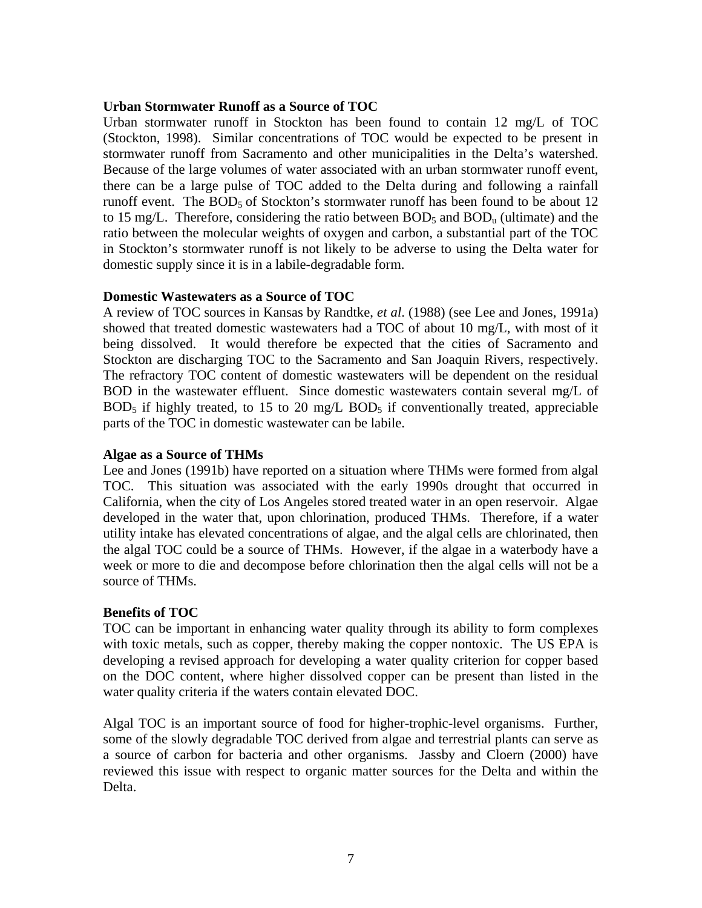#### **Urban Stormwater Runoff as a Source of TOC**

Urban stormwater runoff in Stockton has been found to contain 12 mg/L of TOC (Stockton, 1998). Similar concentrations of TOC would be expected to be present in stormwater runoff from Sacramento and other municipalities in the Delta's watershed. Because of the large volumes of water associated with an urban stormwater runoff event, there can be a large pulse of TOC added to the Delta during and following a rainfall runoff event. The  $BOD_5$  of Stockton's stormwater runoff has been found to be about 12 to 15 mg/L. Therefore, considering the ratio between  $BOD_5$  and  $BOD<sub>u</sub>$  (ultimate) and the ratio between the molecular weights of oxygen and carbon, a substantial part of the TOC in Stockton's stormwater runoff is not likely to be adverse to using the Delta water for domestic supply since it is in a labile-degradable form.

# **Domestic Wastewaters as a Source of TOC**

A review of TOC sources in Kansas by Randtke, *et al*. (1988) (see Lee and Jones, 1991a) showed that treated domestic wastewaters had a TOC of about 10 mg/L, with most of it being dissolved. It would therefore be expected that the cities of Sacramento and Stockton are discharging TOC to the Sacramento and San Joaquin Rivers, respectively. The refractory TOC content of domestic wastewaters will be dependent on the residual BOD in the wastewater effluent. Since domestic wastewaters contain several mg/L of  $BOD_5$  if highly treated, to 15 to 20 mg/L  $BOD_5$  if conventionally treated, appreciable parts of the TOC in domestic wastewater can be labile.

#### **Algae as a Source of THMs**

Lee and Jones (1991b) have reported on a situation where THMs were formed from algal TOC. This situation was associated with the early 1990s drought that occurred in California, when the city of Los Angeles stored treated water in an open reservoir. Algae developed in the water that, upon chlorination, produced THMs. Therefore, if a water utility intake has elevated concentrations of algae, and the algal cells are chlorinated, then the algal TOC could be a source of THMs. However, if the algae in a waterbody have a week or more to die and decompose before chlorination then the algal cells will not be a source of THMs.

# **Benefits of TOC**

TOC can be important in enhancing water quality through its ability to form complexes with toxic metals, such as copper, thereby making the copper nontoxic. The US EPA is developing a revised approach for developing a water quality criterion for copper based on the DOC content, where higher dissolved copper can be present than listed in the water quality criteria if the waters contain elevated DOC.

Algal TOC is an important source of food for higher-trophic-level organisms. Further, some of the slowly degradable TOC derived from algae and terrestrial plants can serve as a source of carbon for bacteria and other organisms. Jassby and Cloern (2000) have reviewed this issue with respect to organic matter sources for the Delta and within the Delta.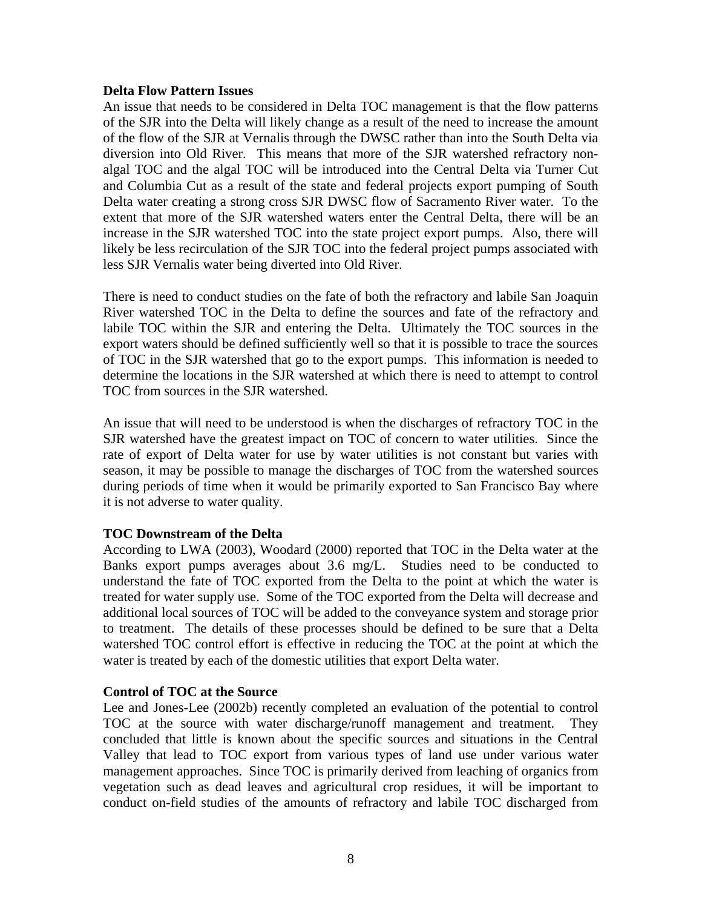## **Delta Flow Pattern Issues**

An issue that needs to be considered in Delta TOC management is that the flow patterns of the SJR into the Delta will likely change as a result of the need to increase the amount of the flow of the SJR at Vernalis through the DWSC rather than into the South Delta via diversion into Old River. This means that more of the SJR watershed refractory nonalgal TOC and the algal TOC will be introduced into the Central Delta via Turner Cut and Columbia Cut as a result of the state and federal projects export pumping of South Delta water creating a strong cross SJR DWSC flow of Sacramento River water. To the extent that more of the SJR watershed waters enter the Central Delta, there will be an increase in the SJR watershed TOC into the state project export pumps. Also, there will likely be less recirculation of the SJR TOC into the federal project pumps associated with less SJR Vernalis water being diverted into Old River.

There is need to conduct studies on the fate of both the refractory and labile San Joaquin River watershed TOC in the Delta to define the sources and fate of the refractory and labile TOC within the SJR and entering the Delta. Ultimately the TOC sources in the export waters should be defined sufficiently well so that it is possible to trace the sources of TOC in the SJR watershed that go to the export pumps. This information is needed to determine the locations in the SJR watershed at which there is need to attempt to control TOC from sources in the SJR watershed.

An issue that will need to be understood is when the discharges of refractory TOC in the SJR watershed have the greatest impact on TOC of concern to water utilities. Since the rate of export of Delta water for use by water utilities is not constant but varies with season, it may be possible to manage the discharges of TOC from the watershed sources during periods of time when it would be primarily exported to San Francisco Bay where it is not adverse to water quality.

# **TOC Downstream of the Delta**

According to LWA (2003), Woodard (2000) reported that TOC in the Delta water at the Banks export pumps averages about 3.6 mg/L. Studies need to be conducted to understand the fate of TOC exported from the Delta to the point at which the water is treated for water supply use. Some of the TOC exported from the Delta will decrease and additional local sources of TOC will be added to the conveyance system and storage prior to treatment. The details of these processes should be defined to be sure that a Delta watershed TOC control effort is effective in reducing the TOC at the point at which the water is treated by each of the domestic utilities that export Delta water.

# **Control of TOC at the Source**

Lee and Jones-Lee (2002b) recently completed an evaluation of the potential to control TOC at the source with water discharge/runoff management and treatment. They concluded that little is known about the specific sources and situations in the Central Valley that lead to TOC export from various types of land use under various water management approaches. Since TOC is primarily derived from leaching of organics from vegetation such as dead leaves and agricultural crop residues, it will be important to conduct on-field studies of the amounts of refractory and labile TOC discharged from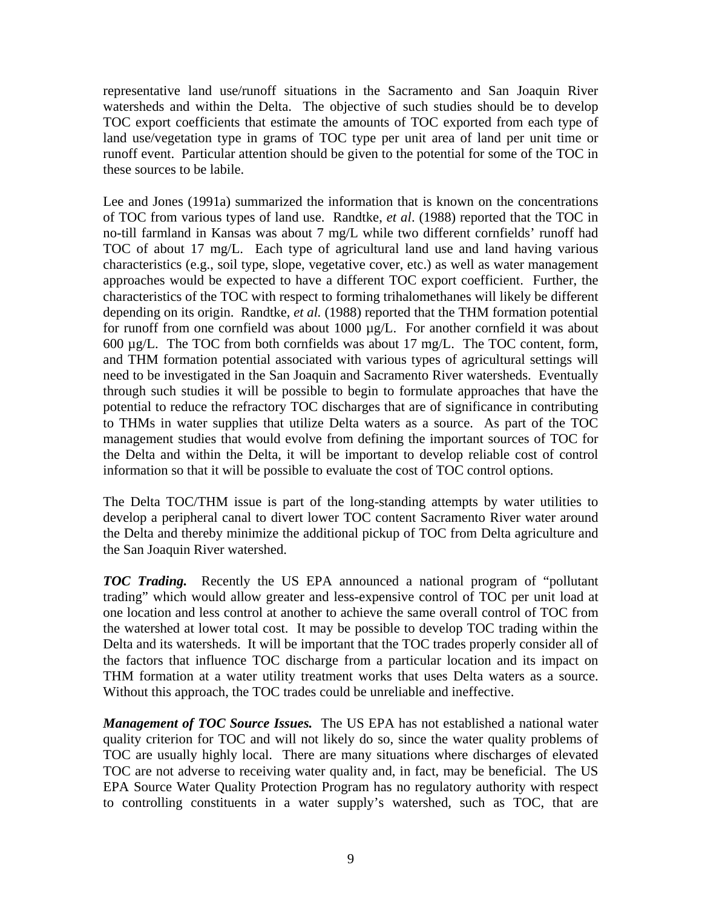representative land use/runoff situations in the Sacramento and San Joaquin River watersheds and within the Delta. The objective of such studies should be to develop TOC export coefficients that estimate the amounts of TOC exported from each type of land use/vegetation type in grams of TOC type per unit area of land per unit time or runoff event. Particular attention should be given to the potential for some of the TOC in these sources to be labile.

Lee and Jones (1991a) summarized the information that is known on the concentrations of TOC from various types of land use. Randtke, *et al*. (1988) reported that the TOC in no-till farmland in Kansas was about 7 mg/L while two different cornfields' runoff had TOC of about 17 mg/L. Each type of agricultural land use and land having various characteristics (e.g., soil type, slope, vegetative cover, etc.) as well as water management approaches would be expected to have a different TOC export coefficient. Further, the characteristics of the TOC with respect to forming trihalomethanes will likely be different depending on its origin. Randtke, *et al.* (1988) reported that the THM formation potential for runoff from one cornfield was about 1000 µg/L. For another cornfield it was about 600 µg/L. The TOC from both cornfields was about 17 mg/L. The TOC content, form, and THM formation potential associated with various types of agricultural settings will need to be investigated in the San Joaquin and Sacramento River watersheds. Eventually through such studies it will be possible to begin to formulate approaches that have the potential to reduce the refractory TOC discharges that are of significance in contributing to THMs in water supplies that utilize Delta waters as a source. As part of the TOC management studies that would evolve from defining the important sources of TOC for the Delta and within the Delta, it will be important to develop reliable cost of control information so that it will be possible to evaluate the cost of TOC control options.

The Delta TOC/THM issue is part of the long-standing attempts by water utilities to develop a peripheral canal to divert lower TOC content Sacramento River water around the Delta and thereby minimize the additional pickup of TOC from Delta agriculture and the San Joaquin River watershed.

*TOC Trading.* Recently the US EPA announced a national program of "pollutant trading" which would allow greater and less-expensive control of TOC per unit load at one location and less control at another to achieve the same overall control of TOC from the watershed at lower total cost. It may be possible to develop TOC trading within the Delta and its watersheds. It will be important that the TOC trades properly consider all of the factors that influence TOC discharge from a particular location and its impact on THM formation at a water utility treatment works that uses Delta waters as a source. Without this approach, the TOC trades could be unreliable and ineffective.

*Management of TOC Source Issues.* The US EPA has not established a national water quality criterion for TOC and will not likely do so, since the water quality problems of TOC are usually highly local. There are many situations where discharges of elevated TOC are not adverse to receiving water quality and, in fact, may be beneficial. The US EPA Source Water Quality Protection Program has no regulatory authority with respect to controlling constituents in a water supply's watershed, such as TOC, that are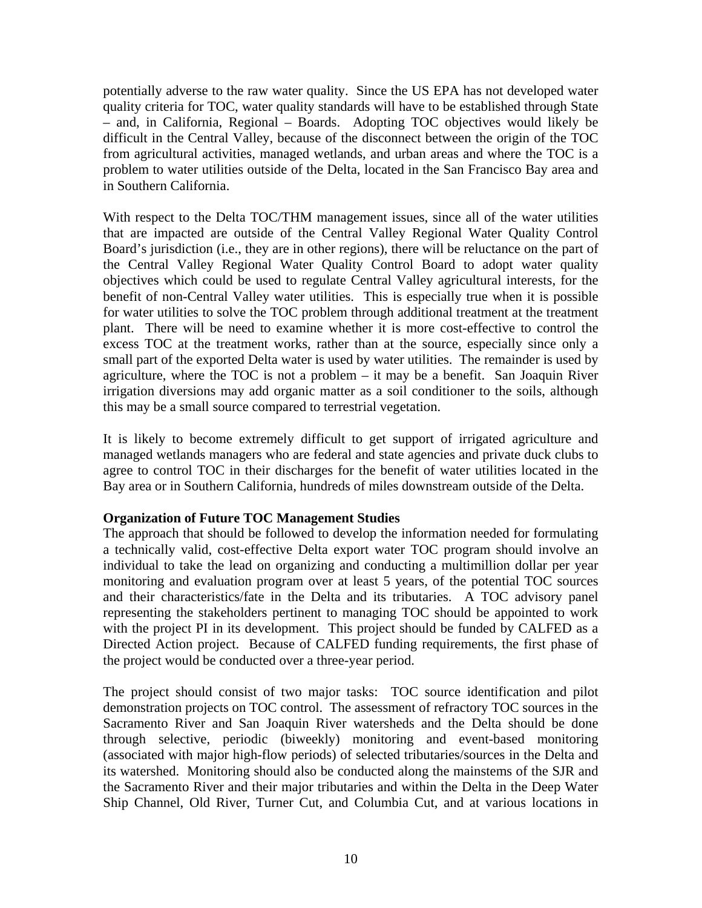potentially adverse to the raw water quality. Since the US EPA has not developed water quality criteria for TOC, water quality standards will have to be established through State – and, in California, Regional – Boards. Adopting TOC objectives would likely be difficult in the Central Valley, because of the disconnect between the origin of the TOC from agricultural activities, managed wetlands, and urban areas and where the TOC is a problem to water utilities outside of the Delta, located in the San Francisco Bay area and in Southern California.

With respect to the Delta TOC/THM management issues, since all of the water utilities that are impacted are outside of the Central Valley Regional Water Quality Control Board's jurisdiction (i.e., they are in other regions), there will be reluctance on the part of the Central Valley Regional Water Quality Control Board to adopt water quality objectives which could be used to regulate Central Valley agricultural interests, for the benefit of non-Central Valley water utilities. This is especially true when it is possible for water utilities to solve the TOC problem through additional treatment at the treatment plant. There will be need to examine whether it is more cost-effective to control the excess TOC at the treatment works, rather than at the source, especially since only a small part of the exported Delta water is used by water utilities. The remainder is used by agriculture, where the TOC is not a problem – it may be a benefit. San Joaquin River irrigation diversions may add organic matter as a soil conditioner to the soils, although this may be a small source compared to terrestrial vegetation.

It is likely to become extremely difficult to get support of irrigated agriculture and managed wetlands managers who are federal and state agencies and private duck clubs to agree to control TOC in their discharges for the benefit of water utilities located in the Bay area or in Southern California, hundreds of miles downstream outside of the Delta.

# **Organization of Future TOC Management Studies**

The approach that should be followed to develop the information needed for formulating a technically valid, cost-effective Delta export water TOC program should involve an individual to take the lead on organizing and conducting a multimillion dollar per year monitoring and evaluation program over at least 5 years, of the potential TOC sources and their characteristics/fate in the Delta and its tributaries. A TOC advisory panel representing the stakeholders pertinent to managing TOC should be appointed to work with the project PI in its development. This project should be funded by CALFED as a Directed Action project. Because of CALFED funding requirements, the first phase of the project would be conducted over a three-year period.

The project should consist of two major tasks: TOC source identification and pilot demonstration projects on TOC control. The assessment of refractory TOC sources in the Sacramento River and San Joaquin River watersheds and the Delta should be done through selective, periodic (biweekly) monitoring and event-based monitoring (associated with major high-flow periods) of selected tributaries/sources in the Delta and its watershed. Monitoring should also be conducted along the mainstems of the SJR and the Sacramento River and their major tributaries and within the Delta in the Deep Water Ship Channel, Old River, Turner Cut, and Columbia Cut, and at various locations in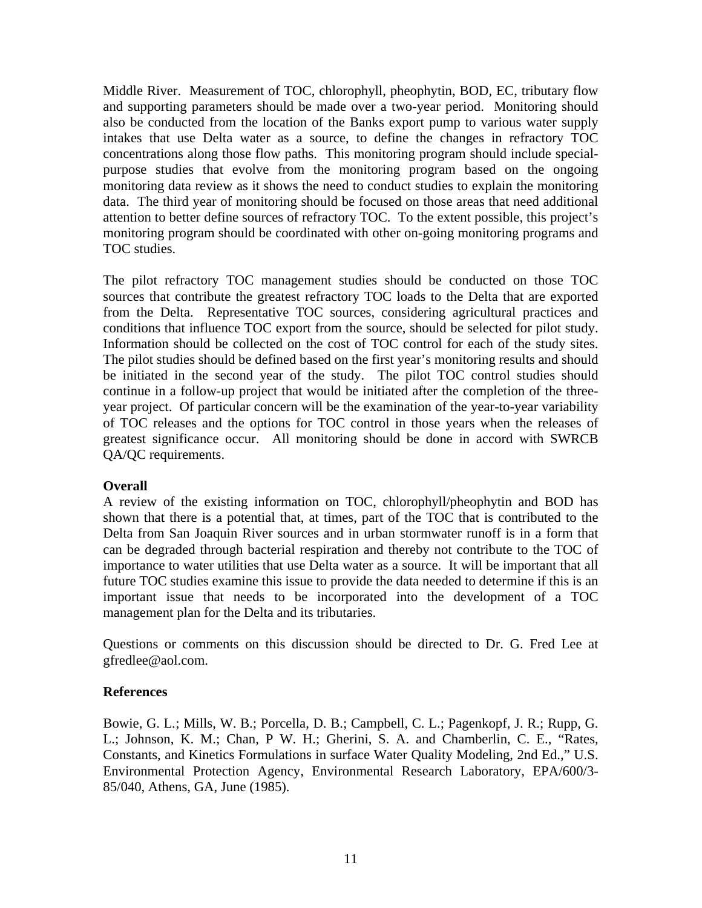Middle River. Measurement of TOC, chlorophyll, pheophytin, BOD, EC, tributary flow and supporting parameters should be made over a two-year period. Monitoring should also be conducted from the location of the Banks export pump to various water supply intakes that use Delta water as a source, to define the changes in refractory TOC concentrations along those flow paths. This monitoring program should include specialpurpose studies that evolve from the monitoring program based on the ongoing monitoring data review as it shows the need to conduct studies to explain the monitoring data. The third year of monitoring should be focused on those areas that need additional attention to better define sources of refractory TOC. To the extent possible, this project's monitoring program should be coordinated with other on-going monitoring programs and TOC studies.

The pilot refractory TOC management studies should be conducted on those TOC sources that contribute the greatest refractory TOC loads to the Delta that are exported from the Delta. Representative TOC sources, considering agricultural practices and conditions that influence TOC export from the source, should be selected for pilot study. Information should be collected on the cost of TOC control for each of the study sites. The pilot studies should be defined based on the first year's monitoring results and should be initiated in the second year of the study. The pilot TOC control studies should continue in a follow-up project that would be initiated after the completion of the threeyear project. Of particular concern will be the examination of the year-to-year variability of TOC releases and the options for TOC control in those years when the releases of greatest significance occur. All monitoring should be done in accord with SWRCB QA/QC requirements.

# **Overall**

A review of the existing information on TOC, chlorophyll/pheophytin and BOD has shown that there is a potential that, at times, part of the TOC that is contributed to the Delta from San Joaquin River sources and in urban stormwater runoff is in a form that can be degraded through bacterial respiration and thereby not contribute to the TOC of importance to water utilities that use Delta water as a source. It will be important that all future TOC studies examine this issue to provide the data needed to determine if this is an important issue that needs to be incorporated into the development of a TOC management plan for the Delta and its tributaries.

Questions or comments on this discussion should be directed to Dr. G. Fred Lee at gfredlee@aol.com.

# **References**

Bowie, G. L*.*; Mills, W. B.; Porcella, D. B.; Campbell, C. L.; Pagenkopf, J. R.; Rupp, G. L.; Johnson, K. M.; Chan, P W. H.; Gherini, S. A. and Chamberlin, C. E., "Rates, Constants, and Kinetics Formulations in surface Water Quality Modeling, 2nd Ed.," U.S. Environmental Protection Agency, Environmental Research Laboratory, EPA/600/3- 85/040, Athens, GA, June (1985).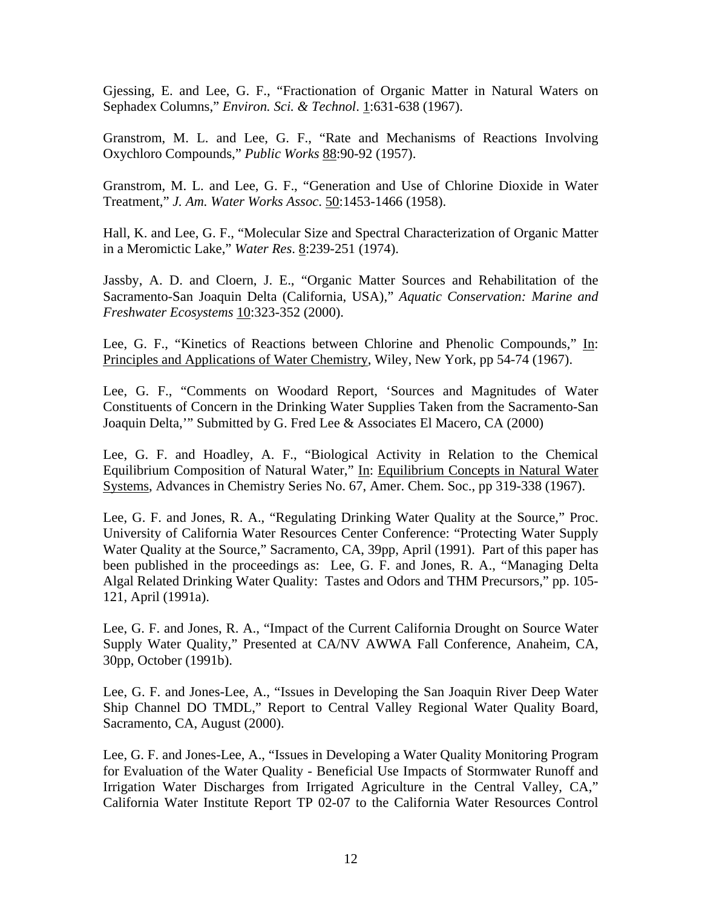Gjessing, E. and Lee, G. F., "Fractionation of Organic Matter in Natural Waters on Sephadex Columns," *Environ. Sci. & Technol*. 1:631-638 (1967).

Granstrom, M. L. and Lee, G. F., "Rate and Mechanisms of Reactions Involving Oxychloro Compounds," *Public Works* 88:90-92 (1957).

Granstrom, M. L. and Lee, G. F., "Generation and Use of Chlorine Dioxide in Water Treatment," *J. Am. Water Works Assoc*. 50:1453-1466 (1958).

Hall, K. and Lee, G. F., "Molecular Size and Spectral Characterization of Organic Matter in a Meromictic Lake," *Water Res*. 8:239-251 (1974).

Jassby, A. D. and Cloern, J. E., "Organic Matter Sources and Rehabilitation of the Sacramento-San Joaquin Delta (California, USA)," *Aquatic Conservation: Marine and Freshwater Ecosystems* 10:323-352 (2000).

Lee, G. F., "Kinetics of Reactions between Chlorine and Phenolic Compounds," In: Principles and Applications of Water Chemistry, Wiley, New York, pp 54-74 (1967).

Lee, G. F., "Comments on Woodard Report, 'Sources and Magnitudes of Water Constituents of Concern in the Drinking Water Supplies Taken from the Sacramento-San Joaquin Delta,'" Submitted by G. Fred Lee & Associates El Macero, CA (2000)

Lee, G. F. and Hoadley, A. F., "Biological Activity in Relation to the Chemical Equilibrium Composition of Natural Water," In: Equilibrium Concepts in Natural Water Systems, Advances in Chemistry Series No. 67, Amer. Chem. Soc., pp 319-338 (1967).

Lee, G. F. and Jones, R. A., "Regulating Drinking Water Quality at the Source," Proc. University of California Water Resources Center Conference: "Protecting Water Supply Water Quality at the Source," Sacramento, CA, 39pp, April (1991). Part of this paper has been published in the proceedings as: Lee, G. F. and Jones, R. A., "Managing Delta Algal Related Drinking Water Quality: Tastes and Odors and THM Precursors," pp. 105- 121, April (1991a).

Lee, G. F. and Jones, R. A., "Impact of the Current California Drought on Source Water Supply Water Quality," Presented at CA/NV AWWA Fall Conference, Anaheim, CA, 30pp, October (1991b).

Lee, G. F. and Jones-Lee, A., "Issues in Developing the San Joaquin River Deep Water Ship Channel DO TMDL," Report to Central Valley Regional Water Quality Board, Sacramento, CA, August (2000).

Lee, G. F. and Jones-Lee, A., "Issues in Developing a Water Quality Monitoring Program for Evaluation of the Water Quality - Beneficial Use Impacts of Stormwater Runoff and Irrigation Water Discharges from Irrigated Agriculture in the Central Valley, CA," California Water Institute Report TP 02-07 to the California Water Resources Control